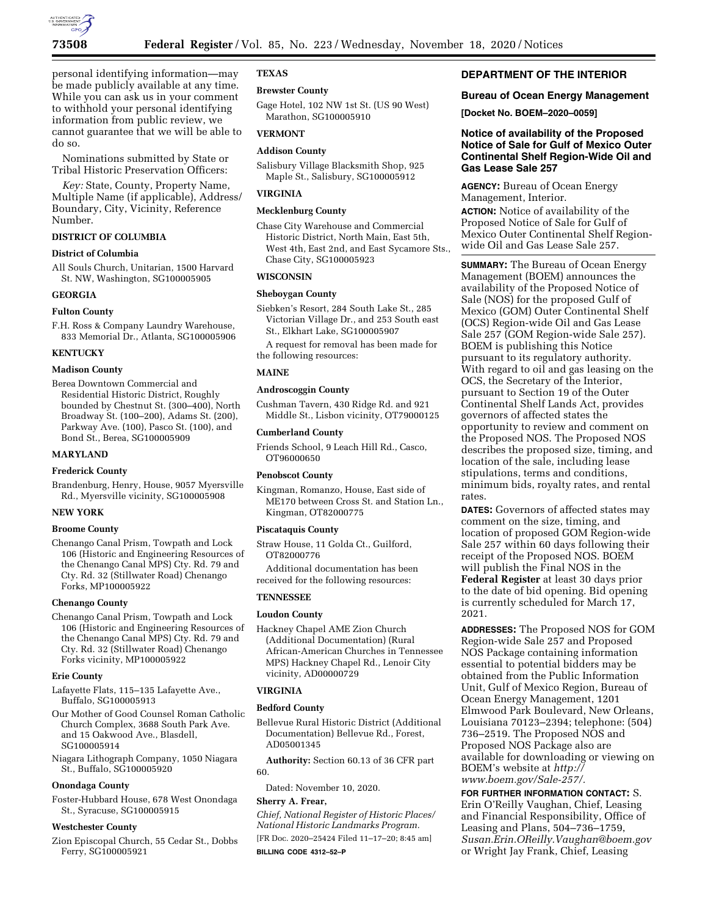

personal identifying information—may be made publicly available at any time. While you can ask us in your comment to withhold your personal identifying information from public review, we cannot guarantee that we will be able to do so.

Nominations submitted by State or Tribal Historic Preservation Officers:

*Key:* State, County, Property Name, Multiple Name (if applicable), Address/ Boundary, City, Vicinity, Reference Number.

# **DISTRICT OF COLUMBIA**

# **District of Columbia**

All Souls Church, Unitarian, 1500 Harvard St. NW, Washington, SG100005905

### **GEORGIA**

# **Fulton County**

F.H. Ross & Company Laundry Warehouse, 833 Memorial Dr., Atlanta, SG100005906

### **KENTUCKY**

# **Madison County**

Berea Downtown Commercial and Residential Historic District, Roughly bounded by Chestnut St. (300–400), North Broadway St. (100–200), Adams St. (200), Parkway Ave. (100), Pasco St. (100), and Bond St., Berea, SG100005909

#### **MARYLAND**

# **Frederick County**

Brandenburg, Henry, House, 9057 Myersville Rd., Myersville vicinity, SG100005908

#### **NEW YORK**

# **Broome County**

Chenango Canal Prism, Towpath and Lock 106 (Historic and Engineering Resources of the Chenango Canal MPS) Cty. Rd. 79 and Cty. Rd. 32 (Stillwater Road) Chenango Forks, MP100005922

#### **Chenango County**

Chenango Canal Prism, Towpath and Lock 106 (Historic and Engineering Resources of the Chenango Canal MPS) Cty. Rd. 79 and Cty. Rd. 32 (Stillwater Road) Chenango Forks vicinity, MP100005922

### **Erie County**

- Lafayette Flats, 115–135 Lafayette Ave., Buffalo, SG100005913
- Our Mother of Good Counsel Roman Catholic Church Complex, 3688 South Park Ave. and 15 Oakwood Ave., Blasdell, SG100005914
- Niagara Lithograph Company, 1050 Niagara St., Buffalo, SG100005920

# **Onondaga County**

Foster-Hubbard House, 678 West Onondaga St., Syracuse, SG100005915

#### **Westchester County**

Zion Episcopal Church, 55 Cedar St., Dobbs Ferry, SG100005921

### **TEXAS**

#### **Brewster County**

Gage Hotel, 102 NW 1st St. (US 90 West) Marathon, SG100005910

# **VERMONT**

# **Addison County**

Salisbury Village Blacksmith Shop, 925 Maple St., Salisbury, SG100005912

#### **VIRGINIA**

# **Mecklenburg County**

Chase City Warehouse and Commercial Historic District, North Main, East 5th, West 4th, East 2nd, and East Sycamore Sts., Chase City, SG100005923

#### **WISCONSIN**

# **Sheboygan County**

Siebken's Resort, 284 South Lake St., 285 Victorian Village Dr., and 253 South east St., Elkhart Lake, SG100005907

A request for removal has been made for the following resources:

# **MAINE**

### **Androscoggin County**

Cushman Tavern, 430 Ridge Rd. and 921 Middle St., Lisbon vicinity, OT79000125

#### **Cumberland County**

Friends School, 9 Leach Hill Rd., Casco, OT96000650

# **Penobscot County**

Kingman, Romanzo, House, East side of ME170 between Cross St. and Station Ln., Kingman, OT82000775

#### **Piscataquis County**

Straw House, 11 Golda Ct., Guilford, OT82000776

Additional documentation has been received for the following resources:

# **TENNESSEE**

#### **Loudon County**

Hackney Chapel AME Zion Church (Additional Documentation) (Rural African-American Churches in Tennessee MPS) Hackney Chapel Rd., Lenoir City vicinity, AD00000729

### **VIRGINIA**

### **Bedford County**

Bellevue Rural Historic District (Additional Documentation) Bellevue Rd., Forest, AD05001345

**Authority:** Section 60.13 of 36 CFR part 60.

Dated: November 10, 2020.

#### **Sherry A. Frear,**

*Chief, National Register of Historic Places/ National Historic Landmarks Program.*  [FR Doc. 2020–25424 Filed 11–17–20; 8:45 am] **BILLING CODE 4312–52–P** 

# **DEPARTMENT OF THE INTERIOR**

# **Bureau of Ocean Energy Management**

**[Docket No. BOEM–2020–0059]** 

# **Notice of availability of the Proposed Notice of Sale for Gulf of Mexico Outer Continental Shelf Region-Wide Oil and Gas Lease Sale 257**

**AGENCY:** Bureau of Ocean Energy Management, Interior.

**ACTION:** Notice of availability of the Proposed Notice of Sale for Gulf of Mexico Outer Continental Shelf Regionwide Oil and Gas Lease Sale 257.

**SUMMARY:** The Bureau of Ocean Energy Management (BOEM) announces the availability of the Proposed Notice of Sale (NOS) for the proposed Gulf of Mexico (GOM) Outer Continental Shelf (OCS) Region-wide Oil and Gas Lease Sale 257 (GOM Region-wide Sale 257). BOEM is publishing this Notice pursuant to its regulatory authority. With regard to oil and gas leasing on the OCS, the Secretary of the Interior, pursuant to Section 19 of the Outer Continental Shelf Lands Act, provides governors of affected states the opportunity to review and comment on the Proposed NOS. The Proposed NOS describes the proposed size, timing, and location of the sale, including lease stipulations, terms and conditions, minimum bids, royalty rates, and rental rates.

**DATES:** Governors of affected states may comment on the size, timing, and location of proposed GOM Region-wide Sale 257 within 60 days following their receipt of the Proposed NOS. BOEM will publish the Final NOS in the **Federal Register** at least 30 days prior to the date of bid opening. Bid opening is currently scheduled for March 17, 2021.

**ADDRESSES:** The Proposed NOS for GOM Region-wide Sale 257 and Proposed NOS Package containing information essential to potential bidders may be obtained from the Public Information Unit, Gulf of Mexico Region, Bureau of Ocean Energy Management, 1201 Elmwood Park Boulevard, New Orleans, Louisiana 70123–2394; telephone: (504) 736–2519. The Proposed NOS and Proposed NOS Package also are available for downloading or viewing on BOEM's website at *[http://](http://www.boem.gov/Sale-257/) [www.boem.gov/Sale-257/.](http://www.boem.gov/Sale-257/)* 

**FOR FURTHER INFORMATION CONTACT:** S. Erin O'Reilly Vaughan, Chief, Leasing and Financial Responsibility, Office of Leasing and Plans, 504–736–1759, *[Susan.Erin.OReilly.Vaughan@boem.gov](mailto:Susan.Erin.OReilly.Vaughan@boem.gov)*  or Wright Jay Frank, Chief, Leasing